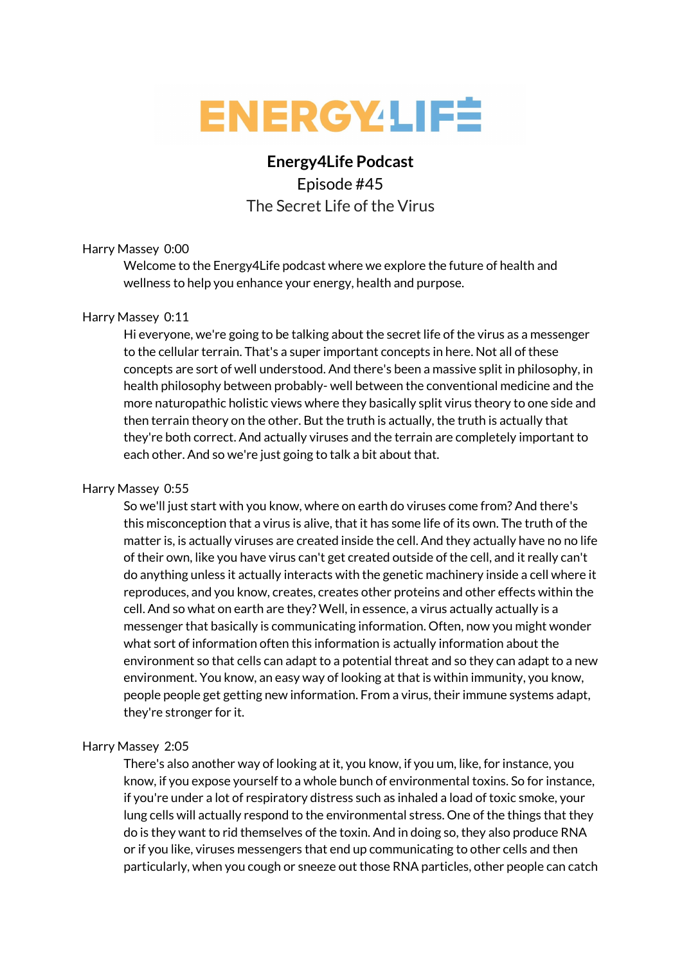

# **Energy4Life Podcast** Episode #45 The Secret Life of the Virus

# Harry Massey 0:00

Welcome to the Energy4Life podcast where we explore the future of health and wellness to help you enhance your energy, health and purpose.

## Harry Massey 0:11

Hi everyone, we're going to be talking about the secret life of the virus as a messenger to the cellular terrain. That's a super important concepts in here. Not all of these concepts are sort of well understood. And there's been a massive split in philosophy, in health philosophy between probably- well between the conventional medicine and the more naturopathic holistic views where they basically split virus theory to one side and then terrain theory on the other. But the truth is actually, the truth is actually that they're both correct. And actually viruses and the terrain are completely important to each other. And so we're just going to talk a bit about that.

# Harry Massey 0:55

So we'll just start with you know, where on earth do viruses come from? And there's this misconception that a virus is alive, that it has some life of its own. The truth of the matter is, is actually viruses are created inside the cell. And they actually have no no life of their own, like you have virus can't get created outside of the cell, and it really can't do anything unless it actually interacts with the genetic machinery inside a cell where it reproduces, and you know, creates, creates other proteins and other effects within the cell. And so what on earth are they? Well, in essence, a virus actually actually is a messenger that basically is communicating information. Often, now you might wonder what sort of information often this information is actually information about the environment so that cells can adapt to a potential threat and so they can adapt to a new environment. You know, an easy way of looking at that is within immunity, you know, people people get getting new information. From a virus, their immune systems adapt, they're stronger for it.

## Harry Massey 2:05

There's also another way of looking at it, you know, if you um, like, for instance, you know, if you expose yourself to a whole bunch of environmental toxins. So for instance, if you're under a lot of respiratory distress such as inhaled a load of toxic smoke, your lung cells will actually respond to the environmental stress. One of the things that they do is they want to rid themselves of the toxin. And in doing so, they also produce RNA or if you like, viruses messengers that end up communicating to other cells and then particularly, when you cough or sneeze out those RNA particles, other people can catch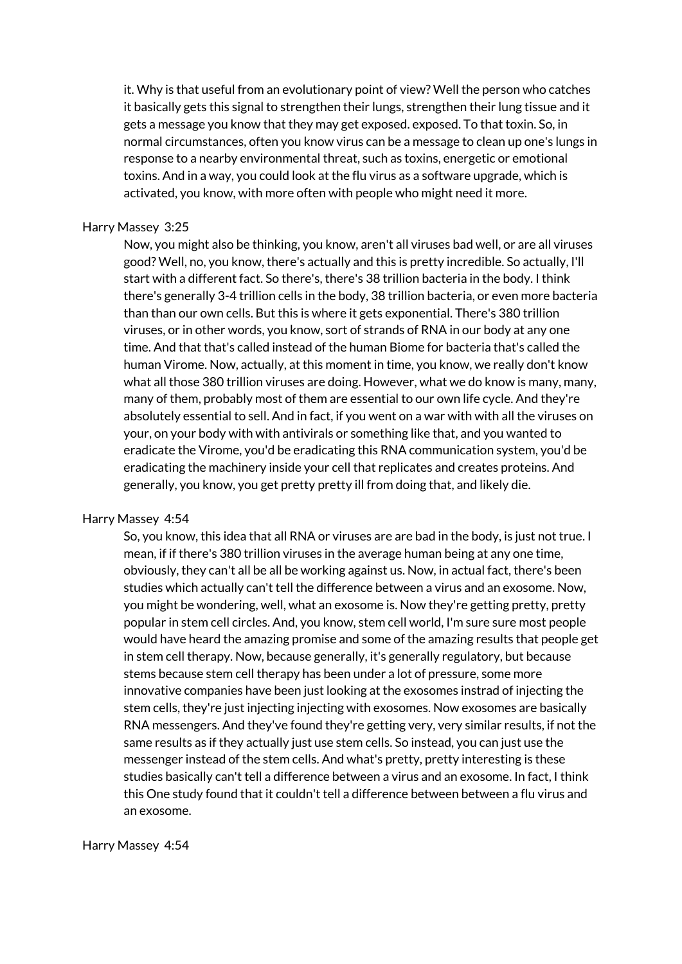it. Why is that useful from an evolutionary point of view? Well the person who catches it basically gets this signal to strengthen their lungs, strengthen their lung tissue and it gets a message you know that they may get exposed. exposed. To that toxin. So, in normal circumstances, often you know virus can be a message to clean up one's lungs in response to a nearby environmental threat, such as toxins, energetic or emotional toxins. And in a way, you could look at the flu virus as a software upgrade, which is activated, you know, with more often with people who might need it more.

## Harry Massey 3:25

Now, you might also be thinking, you know, aren't all viruses bad well, or are all viruses good? Well, no, you know, there's actually and this is pretty incredible. So actually, I'll start with a different fact. So there's, there's 38 trillion bacteria in the body. I think there's generally 3-4 trillion cells in the body, 38 trillion bacteria, or even more bacteria than than our own cells. But this is where it gets exponential. There's 380 trillion viruses, or in other words, you know, sort of strands of RNA in our body at any one time. And that that's called instead of the human Biome for bacteria that's called the human Virome. Now, actually, at this moment in time, you know, we really don't know what all those 380 trillion viruses are doing. However, what we do know is many, many, many of them, probably most of them are essential to our own life cycle. And they're absolutely essential to sell. And in fact, if you went on a war with with all the viruses on your, on your body with with antivirals or something like that, and you wanted to eradicate the Virome, you'd be eradicating this RNA communication system, you'd be eradicating the machinery inside your cell that replicates and creates proteins. And generally, you know, you get pretty pretty ill from doing that, and likely die.

#### Harry Massey 4:54

So, you know, this idea that all RNA or viruses are are bad in the body, is just not true. I mean, if if there's 380 trillion viruses in the average human being at any one time, obviously, they can't all be all be working against us. Now, in actual fact, there's been studies which actually can't tell the difference between a virus and an exosome. Now, you might be wondering, well, what an exosome is. Now they're getting pretty, pretty popular in stem cell circles. And, you know, stem cell world, I'm sure sure most people would have heard the amazing promise and some of the amazing results that people get in stem cell therapy. Now, because generally, it's generally regulatory, but because stems because stem cell therapy has been under a lot of pressure, some more innovative companies have been just looking at the exosomes instrad of injecting the stem cells, they're just injecting injecting with exosomes. Now exosomes are basically RNA messengers. And they've found they're getting very, very similar results, if not the same results as if they actually just use stem cells. So instead, you can just use the messenger instead of the stem cells. And what's pretty, pretty interesting is these studies basically can't tell a difference between a virus and an exosome. In fact, I think this One study found that it couldn't tell a difference between between a flu virus and an exosome.

#### Harry Massey 4:54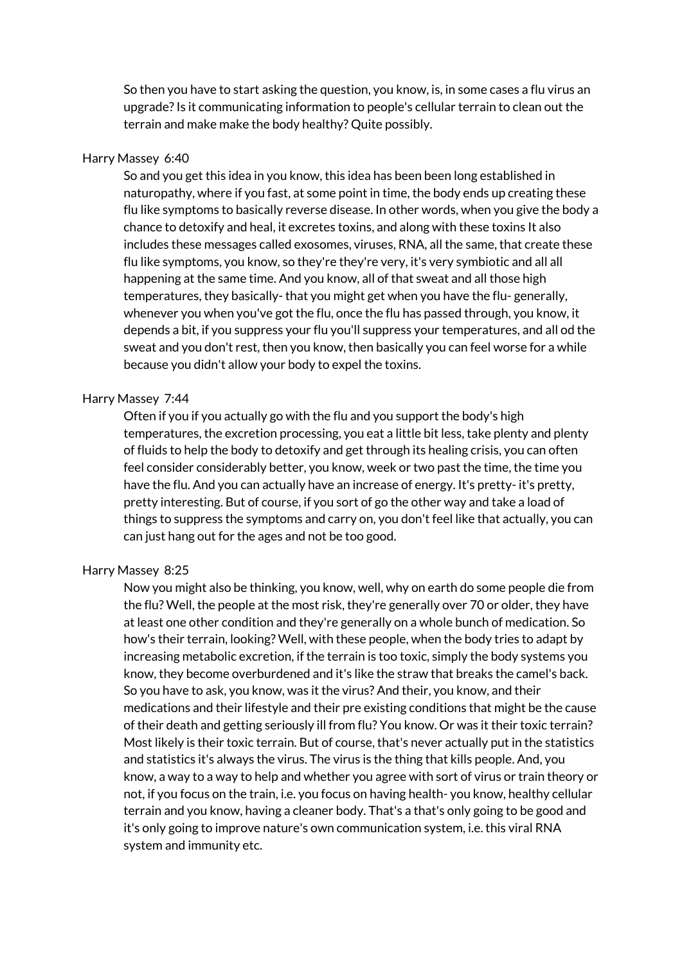So then you have to start asking the question, you know, is, in some cases a flu virus an upgrade?Is it communicating information to people's cellular terrain to clean out the terrain and make make the body healthy? Quite possibly.

#### Harry Massey 6:40

So and you get this idea in you know, this idea has been been long established in naturopathy, where if you fast, at some point in time, the body ends up creating these flu like symptoms to basically reverse disease. In other words, when you give the body a chance to detoxify and heal, it excretes toxins, and along with these toxins It also includes these messages called exosomes, viruses, RNA, all the same, that create these flu like symptoms, you know, so they're they're very, it's very symbiotic and all all happening at the same time. And you know, all of that sweat and all those high temperatures, they basically- that you might get when you have the flu- generally, whenever you when you've got the flu, once the flu has passed through, you know, it depends a bit, if you suppress your flu you'll suppress your temperatures, and all od the sweat and you don't rest, then you know, then basically you can feel worse for a while because you didn't allow your body to expel the toxins.

## Harry Massey 7:44

Often if you if you actually go with the flu and you support the body's high temperatures, the excretion processing, you eat a little bit less, take plenty and plenty of fluids to help the body to detoxify and get through its healing crisis, you can often feel consider considerably better, you know, week or two past the time, the time you have the flu. And you can actually have an increase of energy. It's pretty- it's pretty, pretty interesting. But of course, if you sort of go the other way and take a load of things to suppress the symptoms and carry on, you don't feel like that actually, you can can just hang out for the ages and not be too good.

#### Harry Massey 8:25

Now you might also be thinking, you know, well, why on earth do some people die from the flu? Well, the people at the most risk, they're generally over 70 or older, they have at least one other condition and they're generally on a whole bunch of medication. So how's their terrain, looking? Well, with these people, when the body tries to adapt by increasing metabolic excretion, if the terrain is too toxic, simply the body systems you know, they become overburdened and it's like the straw that breaks the camel's back. So you have to ask, you know, was it the virus? And their, you know, and their medications and their lifestyle and their pre existing conditions that might be the cause of their death and getting seriously ill from flu? You know. Or was it their toxic terrain? Most likely is their toxic terrain. But of course, that's never actually put in the statistics and statistics it's always the virus. The virus is the thing that kills people. And, you know, a way to a way to help and whether you agree with sort of virus or train theory or not, if you focus on the train, i.e. you focus on having health- you know, healthy cellular terrain and you know, having a cleaner body. That's a that's only going to be good and it's only going to improve nature's own communication system, i.e. this viral RNA system and immunity etc.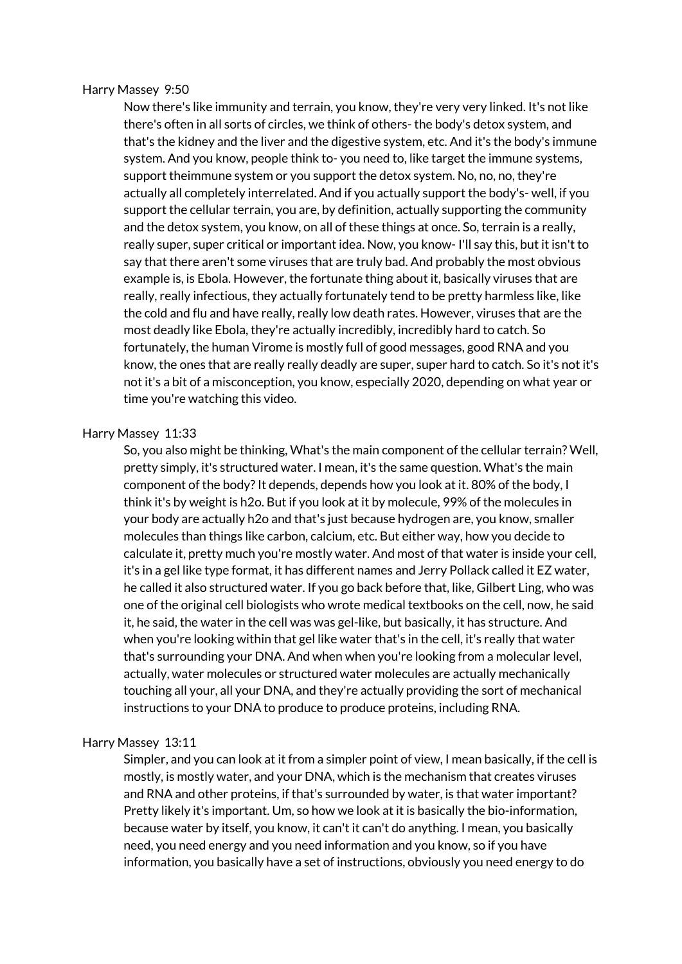#### Harry Massey 9:50

Now there's like immunity and terrain, you know, they're very very linked. It's not like there's often in all sorts of circles, we think of others- the body's detox system, and that's the kidney and the liver and the digestive system, etc. And it's the body's immune system. And you know, people think to- you need to, like target the immune systems, support theimmune system or you support the detox system. No, no, no, they're actually all completely interrelated. And if you actually support the body's- well, if you support the cellular terrain, you are, by definition, actually supporting the community and the detox system, you know, on all of these things at once. So, terrain is a really, really super, super critical or important idea. Now, you know- I'll say this, but it isn't to say that there aren't some viruses that are truly bad. And probably the most obvious example is, is Ebola. However, the fortunate thing about it, basically viruses that are really, really infectious, they actually fortunately tend to be pretty harmless like, like the cold and flu and have really, really low death rates. However, viruses that are the most deadly like Ebola, they're actually incredibly, incredibly hard to catch. So fortunately, the human Virome is mostly full of good messages, good RNA and you know, the ones that are really really deadly are super, super hard to catch. So it's not it's not it's a bit of a misconception, you know, especially 2020, depending on what year or time you're watching this video.

## Harry Massey 11:33

So, you also might be thinking, What's the main component of the cellular terrain? Well, pretty simply, it's structured water. I mean, it's the same question. What's the main component of the body? It depends, depends how you look at it. 80% of the body, I think it's by weight is h2o. But if you look at it by molecule, 99% of the molecules in your body are actually h2o and that's just because hydrogen are, you know, smaller molecules than things like carbon, calcium, etc. But either way, how you decide to calculate it, pretty much you're mostly water. And most of that water is inside your cell, it's in a gel like type format, it has different names and Jerry Pollack called it EZ water, he called it also structured water. If you go back before that, like, Gilbert Ling, who was one of the original cell biologists who wrote medical textbooks on the cell, now, he said it, he said, the water in the cell was was gel-like, but basically, it has structure. And when you're looking within that gel like water that's in the cell, it's really that water that's surrounding your DNA. And when when you're looking from a molecular level, actually, water molecules or structured water molecules are actually mechanically touching all your, all your DNA, and they're actually providing the sort of mechanical instructions to your DNA to produce to produce proteins, including RNA.

#### Harry Massey 13:11

Simpler, and you can look at it from a simpler point of view, I mean basically, if the cell is mostly, is mostly water, and your DNA, which is the mechanism that creates viruses and RNA and other proteins, if that's surrounded by water, is that water important? Pretty likely it's important. Um, so how we look at it is basically the bio-information, because water by itself, you know, it can't it can't do anything. I mean, you basically need, you need energy and you need information and you know, so if you have information, you basically have a set of instructions, obviously you need energy to do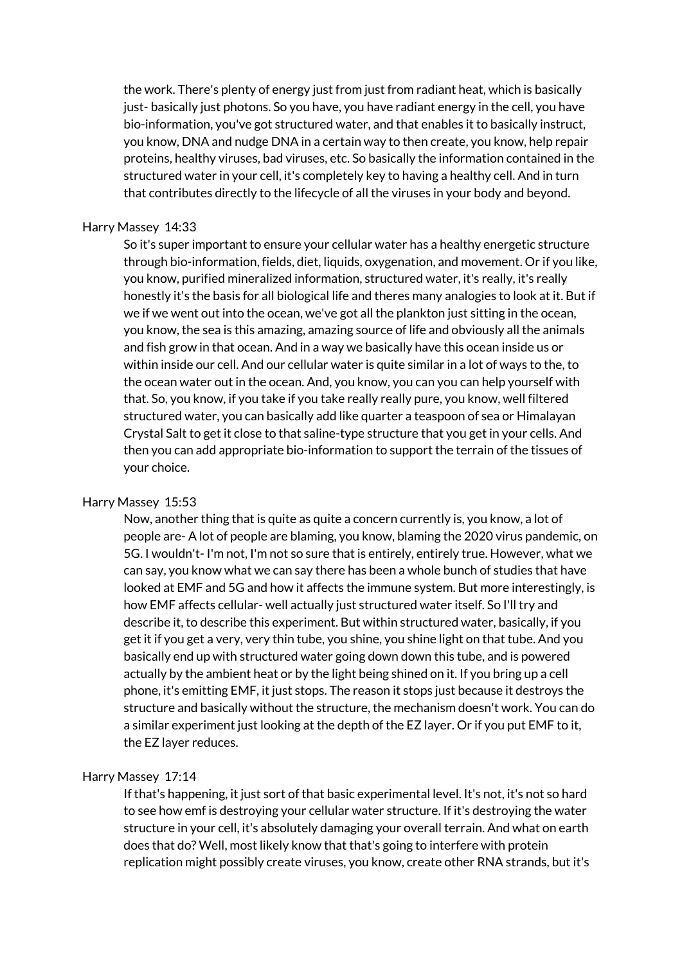the work. There's plenty of energy just from just from radiant heat, which is basically just- basically just photons. So you have, you have radiant energy in the cell, you have bio-information, you've got structured water, and that enables it to basically instruct, you know, DNA and nudge DNA in a certain way to then create, you know, help repair proteins, healthy viruses, bad viruses, etc. So basically the information contained in the structured water in your cell, it's completely key to having a healthy cell. And in turn that contributes directly to the lifecycle of all the viruses in your body and beyond.

## Harry Massey 14:33

So it's super important to ensure your cellular water has a healthy energetic structure through bio-information, fields, diet, liquids, oxygenation, and movement. Or if you like, you know, purified mineralized information, structured water, it's really, it's really honestly it's the basis for all biological life and theres many analogies to look at it. But if we if we went out into the ocean, we've got all the plankton just sitting in the ocean, you know, the sea is this amazing, amazing source of life and obviously all the animals and fish grow in that ocean. And in a way we basically have this ocean inside us or within inside our cell. And our cellular water is quite similar in a lot of ways to the, to the ocean water out in the ocean. And, you know, you can you can help yourself with that. So, you know, if you take if you take really really pure, you know, well filtered structured water, you can basically add like quarter a teaspoon of sea or Himalayan Crystal Salt to get it close to that saline-type structure that you get in your cells. And then you can add appropriate bio-information to support the terrain of the tissues of your choice.

## Harry Massey 15:53

Now, another thing that is quite as quite a concern currently is, you know, a lot of people are- A lot of people are blaming, you know, blaming the 2020 virus pandemic, on 5G. I wouldn't- I'm not, I'm not so sure that is entirely, entirely true. However, what we can say, you know what we can say there has been a whole bunch of studies that have looked at EMF and 5G and how it affects the immune system. But more interestingly, is how EMF affects cellular- well actually just structured water itself. So I'll try and describe it, to describe this experiment. But within structured water, basically, if you get it if you get a very, very thin tube, you shine, you shine light on that tube. And you basically end up with structured water going down down this tube, and is powered actually by the ambient heat or by the light being shined on it. If you bring up a cell phone, it's emitting EMF, it just stops. The reason it stops just because it destroys the structure and basically without the structure, the mechanism doesn't work. You can do a similar experiment just looking at the depth of the EZ layer. Or if you put EMF to it, the EZ layer reduces.

## Harry Massey 17:14

If that's happening, it just sort of that basic experimental level. It's not, it's not so hard to see how emf is destroying your cellular water structure. If it's destroying the water structure in your cell, it's absolutely damaging your overall terrain. And what on earth does that do? Well, most likely know that that's going to interfere with protein replication might possibly create viruses, you know, create other RNA strands, but it's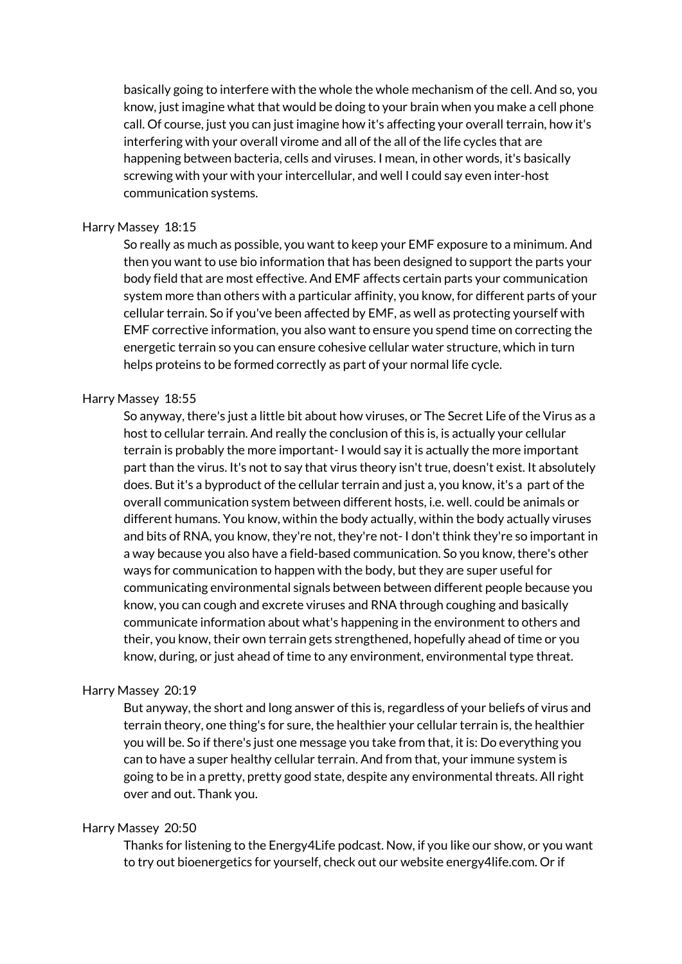basically going to interfere with the whole the whole mechanism of the cell. And so, you know, just imagine what that would be doing to your brain when you make a cell phone call. Of course, just you can just imagine how it's affecting your overall terrain, how it's interfering with your overall virome and all of the all of the life cycles that are happening between bacteria, cells and viruses. I mean, in other words, it's basically screwing with your with your intercellular, and well I could say even inter-host communication systems.

# Harry Massey 18:15

So really as much as possible, you want to keep your EMF exposure to a minimum. And then you want to use bio information that has been designed to support the parts your body field that are most effective. And EMF affects certain parts your communication system more than others with a particular affinity, you know, for different parts of your cellular terrain. So if you've been affected by EMF, as well as protecting yourself with EMF corrective information, you also want to ensure you spend time on correcting the energetic terrain so you can ensure cohesive cellular water structure, which in turn helps proteins to be formed correctly as part of your normal life cycle.

## Harry Massey 18:55

So anyway, there's just a little bit about how viruses, or The Secret Life of the Virus as a host to cellular terrain. And really the conclusion of this is, is actually your cellular terrain is probably the more important- I would say it is actually the more important part than the virus. It's not to say that virus theory isn't true, doesn't exist. It absolutely does. But it's a byproduct of the cellular terrain and just a, you know, it's a part of the overall communication system between different hosts, i.e. well. could be animals or different humans. You know, within the body actually, within the body actually viruses and bits of RNA, you know, they're not, they're not- I don't think they're so important in a way because you also have a field-based communication. So you know, there's other ways for communication to happen with the body, but they are super useful for communicating environmental signals between between different people because you know, you can cough and excrete viruses and RNA through coughing and basically communicate information about what's happening in the environment to others and their, you know, their own terrain gets strengthened, hopefully ahead of time or you know, during, or just ahead of time to any environment, environmental type threat.

#### Harry Massey 20:19

But anyway, the short and long answer of this is, regardless of your beliefs of virus and terrain theory, one thing's for sure, the healthier your cellular terrain is, the healthier you will be. So if there's just one message you take from that, it is: Do everything you can to have a super healthy cellular terrain. And from that, your immune system is going to be in a pretty, pretty good state, despite any environmental threats. All right over and out. Thank you.

#### Harry Massey 20:50

Thanks for listening to the Energy4Life podcast. Now, if you like our show, or you want to try out bioenergetics for yourself, check out our website energy4life.com. Or if